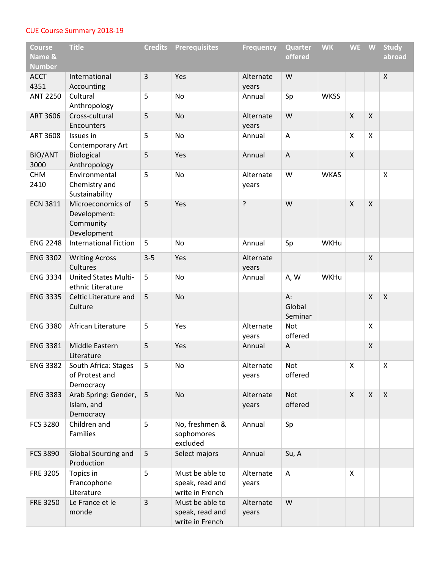## CUE Course Summary 2018-19

| <b>Course</b><br>Name & | <b>Title</b>                                                  | <b>Credits</b> | <b>Prerequisites</b>                                  | <b>Frequency</b>   | <b>Quarter</b><br>offered | <b>WK</b>   | WE W               |                    | <b>Study</b><br>abroad    |
|-------------------------|---------------------------------------------------------------|----------------|-------------------------------------------------------|--------------------|---------------------------|-------------|--------------------|--------------------|---------------------------|
| <b>Number</b>           |                                                               |                |                                                       |                    |                           |             |                    |                    |                           |
| <b>ACCT</b><br>4351     | International<br>Accounting                                   | 3              | Yes                                                   | Alternate<br>years | W                         |             |                    |                    | $\boldsymbol{\mathsf{X}}$ |
| <b>ANT 2250</b>         | Cultural<br>Anthropology                                      | 5              | No                                                    | Annual             | Sp                        | <b>WKSS</b> |                    |                    |                           |
| <b>ART 3606</b>         | Cross-cultural<br>Encounters                                  | 5              | No                                                    | Alternate<br>years | W                         |             | $\mathsf{X}$       | $\pmb{\mathsf{X}}$ |                           |
| <b>ART 3608</b>         | Issues in<br>Contemporary Art                                 | 5              | No                                                    | Annual             | Α                         |             | X                  | $\pmb{\mathsf{X}}$ |                           |
| <b>BIO/ANT</b><br>3000  | Biological<br>Anthropology                                    | 5              | Yes                                                   | Annual             | $\boldsymbol{\mathsf{A}}$ |             | $\mathsf{X}$       |                    |                           |
| <b>CHM</b><br>2410      | Environmental<br>Chemistry and<br>Sustainability              | 5              | No                                                    | Alternate<br>years | W                         | <b>WKAS</b> |                    |                    | X                         |
| <b>ECN 3811</b>         | Microeconomics of<br>Development:<br>Community<br>Development | 5              | Yes                                                   | ?                  | W                         |             | $\mathsf{X}$       | $\mathsf{X}$       |                           |
| <b>ENG 2248</b>         | <b>International Fiction</b>                                  | 5              | No                                                    | Annual             | Sp                        | WKHu        |                    |                    |                           |
| <b>ENG 3302</b>         | <b>Writing Across</b><br><b>Cultures</b>                      | $3 - 5$        | Yes                                                   | Alternate<br>years |                           |             |                    | $\mathsf{X}$       |                           |
| <b>ENG 3334</b>         | <b>United States Multi-</b><br>ethnic Literature              | 5              | No                                                    | Annual             | A, W                      | WKHu        |                    |                    |                           |
| <b>ENG 3335</b>         | Celtic Literature and<br>Culture                              | 5              | <b>No</b>                                             |                    | A:<br>Global<br>Seminar   |             |                    | $\pmb{\mathsf{X}}$ | $\mathsf{X}$              |
| <b>ENG 3380</b>         | African Literature                                            | 5              | Yes                                                   | Alternate<br>years | Not<br>offered            |             |                    | X                  |                           |
| <b>ENG 3381</b>         | Middle Eastern<br>Literature                                  | 5              | Yes                                                   | Annual             | A                         |             |                    | $\mathsf{X}$       |                           |
| <b>ENG 3382</b>         | South Africa: Stages<br>of Protest and<br>Democracy           | 5              | No                                                    | Alternate<br>years | Not<br>offered            |             | $\pmb{\mathsf{X}}$ |                    | X                         |
| <b>ENG 3383</b>         | Arab Spring: Gender,<br>Islam, and<br>Democracy               | 5              | <b>No</b>                                             | Alternate<br>years | Not<br>offered            |             | $\mathsf{X}$       | $\mathsf{X}$       | $\mathsf{X}$              |
| <b>FCS 3280</b>         | Children and<br>Families                                      | 5              | No, freshmen &<br>sophomores<br>excluded              | Annual             | Sp                        |             |                    |                    |                           |
| <b>FCS 3890</b>         | <b>Global Sourcing and</b><br>Production                      | 5              | Select majors                                         | Annual             | Su, A                     |             |                    |                    |                           |
| FRE 3205                | Topics in<br>Francophone<br>Literature                        | 5              | Must be able to<br>speak, read and<br>write in French | Alternate<br>years | A                         |             | X                  |                    |                           |
| <b>FRE 3250</b>         | Le France et le<br>monde                                      | 3              | Must be able to<br>speak, read and<br>write in French | Alternate<br>years | W                         |             |                    |                    |                           |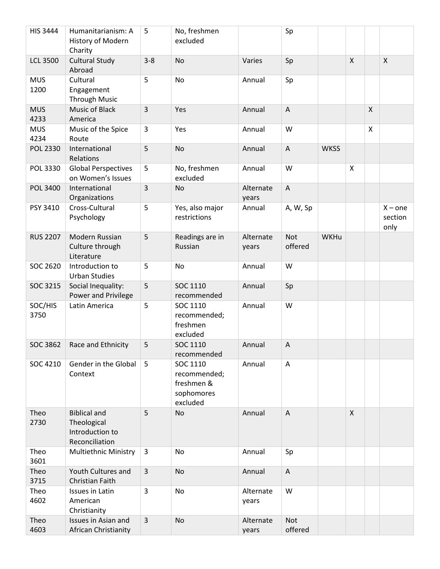| <b>HIS 3444</b>    | Humanitarianism: A<br>History of Modern<br>Charity                      | 5              | No, freshmen<br>excluded                                         |                    | Sp                        |             |                           |   |                              |
|--------------------|-------------------------------------------------------------------------|----------------|------------------------------------------------------------------|--------------------|---------------------------|-------------|---------------------------|---|------------------------------|
| <b>LCL 3500</b>    | <b>Cultural Study</b><br>Abroad                                         | $3 - 8$        | <b>No</b>                                                        | Varies             | Sp                        |             | $\boldsymbol{\mathsf{X}}$ |   | $\mathsf{X}$                 |
| <b>MUS</b><br>1200 | Cultural<br>Engagement<br><b>Through Music</b>                          | 5              | No                                                               | Annual             | Sp                        |             |                           |   |                              |
| <b>MUS</b><br>4233 | Music of Black<br>America                                               | 3              | Yes                                                              | Annual             | $\boldsymbol{\mathsf{A}}$ |             |                           | X |                              |
| <b>MUS</b><br>4234 | Music of the Spice<br>Route                                             | 3              | Yes                                                              | Annual             | W                         |             |                           | X |                              |
| POL 2330           | International<br>Relations                                              | 5              | <b>No</b>                                                        | Annual             | $\mathsf{A}$              | <b>WKSS</b> |                           |   |                              |
| <b>POL 3330</b>    | <b>Global Perspectives</b><br>on Women's Issues                         | 5              | No, freshmen<br>excluded                                         | Annual             | W                         |             | $\boldsymbol{\mathsf{X}}$ |   |                              |
| POL 3400           | International<br>Organizations                                          | $\overline{3}$ | No                                                               | Alternate<br>years | $\boldsymbol{\mathsf{A}}$ |             |                           |   |                              |
| PSY 3410           | Cross-Cultural<br>Psychology                                            | 5              | Yes, also major<br>restrictions                                  | Annual             | A, W, Sp                  |             |                           |   | $X$ – one<br>section<br>only |
| <b>RUS 2207</b>    | Modern Russian<br>Culture through<br>Literature                         | 5              | Readings are in<br>Russian                                       | Alternate<br>years | Not<br>offered            | WKHu        |                           |   |                              |
| SOC 2620           | Introduction to<br><b>Urban Studies</b>                                 | 5              | No                                                               | Annual             | W                         |             |                           |   |                              |
| SOC 3215           | Social Inequality:<br>Power and Privilege                               | 5              | SOC 1110<br>recommended                                          | Annual             | Sp                        |             |                           |   |                              |
| SOC/HIS<br>3750    | Latin America                                                           | 5              | SOC 1110<br>recommended;<br>freshmen<br>excluded                 | Annual             | W                         |             |                           |   |                              |
| SOC 3862           | Race and Ethnicity                                                      | 5              | SOC 1110<br>recommended                                          | Annual             | A                         |             |                           |   |                              |
| SOC 4210           | Gender in the Global<br>Context                                         | 5              | SOC 1110<br>recommended;<br>freshmen &<br>sophomores<br>excluded | Annual             | A                         |             |                           |   |                              |
| Theo<br>2730       | <b>Biblical and</b><br>Theological<br>Introduction to<br>Reconciliation | 5              | <b>No</b>                                                        | Annual             | $\overline{A}$            |             | $\mathsf{X}$              |   |                              |
| Theo<br>3601       | <b>Multiethnic Ministry</b>                                             | 3              | No                                                               | Annual             | Sp                        |             |                           |   |                              |
| Theo<br>3715       | Youth Cultures and<br>Christian Faith                                   | 3              | No                                                               | Annual             | $\mathsf{A}$              |             |                           |   |                              |
| Theo<br>4602       | <b>Issues in Latin</b><br>American<br>Christianity                      | 3              | No                                                               | Alternate<br>years | W                         |             |                           |   |                              |
| Theo<br>4603       | Issues in Asian and<br>African Christianity                             | $\overline{3}$ | No                                                               | Alternate<br>years | <b>Not</b><br>offered     |             |                           |   |                              |